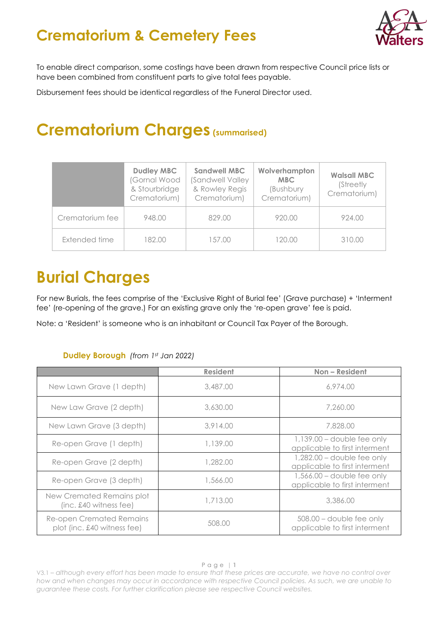### **Crematorium & Cemetery Fees**



To enable direct comparison, some costings have been drawn from respective Council price lists or have been combined from constituent parts to give total fees payable.

Disbursement fees should be identical regardless of the Funeral Director used.

### **Crematorium Charges (summarised)**

|                 | <b>Dudley MBC</b><br>Gornal Wood<br>& Stourbridge<br>Crematorium) | <b>Sandwell MBC</b><br>(Sandwell Valley)<br>& Rowley Regis<br>Crematorium) | Wolverhampton<br><b>MBC</b><br>(Bushbury<br>Crematorium) | <b>Walsall MBC</b><br>(Streetly)<br>Crematorium) |
|-----------------|-------------------------------------------------------------------|----------------------------------------------------------------------------|----------------------------------------------------------|--------------------------------------------------|
| Crematorium fee | 948.00                                                            | 829.00                                                                     | 920.00                                                   | 924.00                                           |
| Extended time   | 182.00                                                            | 157.00                                                                     | 120.00                                                   | 310.00                                           |

# **Burial Charges**

For new Burials, the fees comprise of the 'Exclusive Right of Burial fee' (Grave purchase) + 'Interment fee' (re-opening of the grave.) For an existing grave only the 're-open grave' fee is paid.

Note: a 'Resident' is someone who is an inhabitant or Council Tax Payer of the Borough.

### **Dudley Borough** *(from 1st Jan 2022)*

|                                                                | <b>Resident</b> | Non-Resident                                                  |
|----------------------------------------------------------------|-----------------|---------------------------------------------------------------|
| New Lawn Grave (1 depth)                                       | 3,487.00        | 6,974.00                                                      |
| New Law Grave (2 depth)                                        | 3,630.00        | 7,260.00                                                      |
| New Lawn Grave (3 depth)                                       | 3,914.00        | 7,828.00                                                      |
| Re-open Grave (1 depth)                                        | 1,139.00        | $1,139.00 -$ double fee only<br>applicable to first interment |
| Re-open Grave (2 depth)                                        | 1,282.00        | $1,282.00 - double fee$ only<br>applicable to first interment |
| Re-open Grave (3 depth)                                        | 1,566.00        | $1,566.00 - double fee$ only<br>applicable to first interment |
| New Cremated Remains plot<br>(inc. £40 witness fee)            | 1,713.00        | 3,386.00                                                      |
| <b>Re-open Cremated Remains</b><br>plot (inc. £40 witness fee) | 508.00          | $508.00$ – double fee only<br>applicable to first interment   |

V3.1 – *although every effort has been made to ensure that these prices are accurate, we have no control over how and when changes may occur in accordance with respective Council policies. As such, we are unable to guarantee these costs. For further clarification please see respective Council websites.*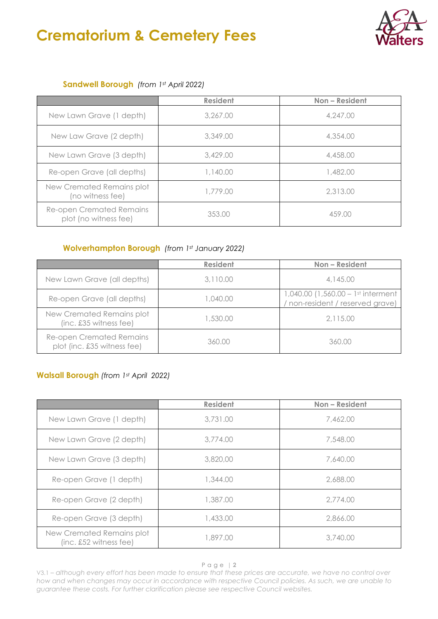# **Crematorium & Cemetery Fees**



#### **Sandwell Borough** *(from 1st April 2022)*

|                                                   | <b>Resident</b> | Non-Resident |
|---------------------------------------------------|-----------------|--------------|
| New Lawn Grave (1 depth)                          | 3,267.00        | 4,247,00     |
| New Law Grave (2 depth)                           | 3,349.00        | 4,354.00     |
| New Lawn Grave (3 depth)                          | 3,429.00        | 4,458.00     |
| Re-open Grave (all depths)                        | 1,140.00        | 1,482.00     |
| New Cremated Remains plot<br>(no witness fee)     | 1,779.00        | 2,313.00     |
| Re-open Cremated Remains<br>plot (no witness fee) | 353.00          | 459.00       |

### **Wolverhampton Borough** *(from 1st January 2022)*

|                                                         | <b>Resident</b> | Non-Resident                                                         |
|---------------------------------------------------------|-----------------|----------------------------------------------------------------------|
| New Lawn Grave (all depths)                             | 3,110.00        | 4,145.00                                                             |
| Re-open Grave (all depths)                              | 1,040.00        | 1,040.00 (1,560.00 – 1st interment<br>non-resident / reserved grave) |
| New Cremated Remains plot<br>(inc. £35 witness fee)     | 1,530.00        | 2,115.00                                                             |
| Re-open Cremated Remains<br>plot (inc. £35 witness fee) | 360.00          | 360.00                                                               |

### **Walsall Borough** *(from 1st April 2022)*

|                                                       | <b>Resident</b> | Non - Resident |
|-------------------------------------------------------|-----------------|----------------|
| New Lawn Grave (1 depth)                              | 3,731.00        | 7,462.00       |
| New Lawn Grave (2 depth)                              | 3,774.00        | 7,548.00       |
| New Lawn Grave (3 depth)                              | 3,820,00        | 7,640.00       |
| Re-open Grave (1 depth)                               | 1,344.00        | 2,688.00       |
| Re-open Grave (2 depth)                               | 1,387.00        | 2,774.00       |
| Re-open Grave (3 depth)                               | 1,433.00        | 2,866.00       |
| New Cremated Remains plot<br>$(inc. £52$ witness fee) | 1,897.00        | 3,740.00       |

#### Page | **2**

V3.1 – *although every effort has been made to ensure that these prices are accurate, we have no control over how and when changes may occur in accordance with respective Council policies. As such, we are unable to guarantee these costs. For further clarification please see respective Council websites.*